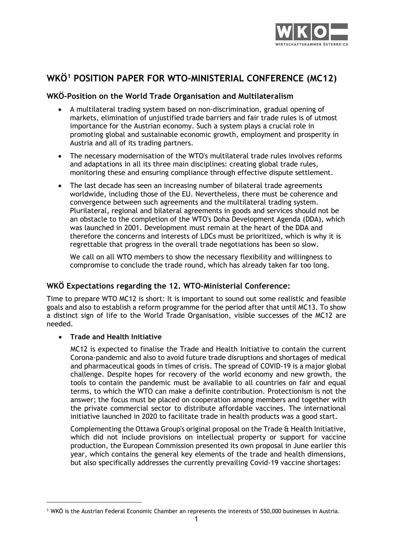

# **WKÖ[1](#page-0-0) POSITION PAPER FOR WTO-MINISTERIAL CONFERENCE (MC12)**

# **WKÖ-Position on the World Trade Organisation and Multilateralism**

- A multilateral trading system based on non-discrimination, gradual opening of markets, elimination of unjustified trade barriers and fair trade rules is of utmost importance for the Austrian economy. Such a system plays a crucial role in promoting global and sustainable economic growth, employment and prosperity in Austria and all of its trading partners.
- The necessary modernisation of the WTO's multilateral trade rules involves reforms and adaptations in all its three main disciplines: creating global trade rules, monitoring these and ensuring compliance through effective dispute settlement.
- The last decade has seen an increasing number of bilateral trade agreements worldwide, including those of the EU. Nevertheless, there must be coherence and convergence between such agreements and the multilateral trading system. Plurilateral, regional and bilateral agreements in goods and services should not be an obstacle to the completion of the WTO's Doha Development Agenda (DDA), which was launched in 2001. Development must remain at the heart of the DDA and therefore the concerns and interests of LDCs must be prioritized, which is why it is regrettable that progress in the overall trade negotiations has been so slow.

We call on all WTO members to show the necessary flexibility and willingness to compromise to conclude the trade round, which has already taken far too long.

# **WKÖ Expectations regarding the 12. WTO-Ministerial Conference:**

Time to prepare WTO MC12 is short: It is important to sound out some realistic and feasible goals and also to establish a reform programme for the period after that until MC13. To show a distinct sign of life to the World Trade Organisation, visible successes of the MC12 are needed.

# • **Trade and Health Initiative**

MC12 is expected to finalise the Trade and Health Initiative to contain the current Corona-pandemic and also to avoid future trade disruptions and shortages of medical and pharmaceutical goods in times of crisis. The spread of COVID-19 is a major global challenge. Despite hopes for recovery of the world economy and new growth, the tools to contain the pandemic must be available to all countries on fair and equal terms, to which the WTO can make a definite contribution. Protectionism is not the answer; the focus must be placed on cooperation among members and together with the private commercial sector to distribute affordable vaccines. The international initiative launched in 2020 to facilitate trade in health products was a good start.

Complementing the Ottawa Group's original proposal on the Trade & Health Initiative, which did not include provisions on intellectual property or support for vaccine production, the European Commission presented its own proposal in June earlier this year, which contains the general key elements of the trade and health dimensions, but also specifically addresses the currently prevailing Covid-19 vaccine shortages:

<span id="page-0-0"></span><sup>1</sup> WKÖ is the Austrian Federal Economic Chamber an represents the interests of 550,000 businesses in Austria.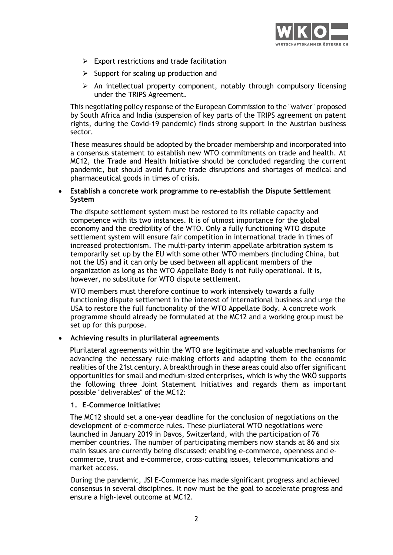

- $\triangleright$  Export restrictions and trade facilitation
- $\triangleright$  Support for scaling up production and
- $\triangleright$  An intellectual property component, notably through compulsory licensing under the TRIPS Agreement.

This negotiating policy response of the European Commission to the "waiver" proposed by South Africa and India (suspension of key parts of the TRIPS agreement on patent rights, during the Covid-19 pandemic) finds strong support in the Austrian business sector.

These measures should be adopted by the broader membership and incorporated into a consensus statement to establish new WTO commitments on trade and health. At MC12, the Trade and Health Initiative should be concluded regarding the current pandemic, but should avoid future trade disruptions and shortages of medical and pharmaceutical goods in times of crisis.

# • **Establish a concrete work programme to re-establish the Dispute Settlement System**

The dispute settlement system must be restored to its reliable capacity and competence with its two instances. It is of utmost importance for the global economy and the credibility of the WTO. Only a fully functioning WTO dispute settlement system will ensure fair competition in international trade in times of increased protectionism. The multi-party interim appellate arbitration system is temporarily set up by the EU with some other WTO members (including China, but not the US) and it can only be used between all applicant members of the organization as long as the WTO Appellate Body is not fully operational. It is, however, no substitute for WTO dispute settlement.

WTO members must therefore continue to work intensively towards a fully functioning dispute settlement in the interest of international business and urge the USA to restore the full functionality of the WTO Appellate Body. A concrete work programme should already be formulated at the MC12 and a working group must be set up for this purpose.

# • **Achieving results in plurilateral agreements**

Plurilateral agreements within the WTO are legitimate and valuable mechanisms for advancing the necessary rule-making efforts and adapting them to the economic realities of the 21st century. A breakthrough in these areas could also offer significant opportunities for small and medium-sized enterprises, which is why the WKÖ supports the following three Joint Statement Initiatives and regards them as important possible "deliverables" of the MC12:

# **1. E-Commerce Initiative:**

The MC12 should set a one-year deadline for the conclusion of negotiations on the development of e-commerce rules. These plurilateral WTO negotiations were launched in January 2019 in Davos, Switzerland, with the participation of 76 member countries. The number of participating members now stands at 86 and six main issues are currently being discussed: enabling e-commerce, openness and ecommerce, trust and e-commerce, cross-cutting issues, telecommunications and market access.

During the pandemic, JSI E-Commerce has made significant progress and achieved consensus in several disciplines. It now must be the goal to accelerate progress and ensure a high-level outcome at MC12.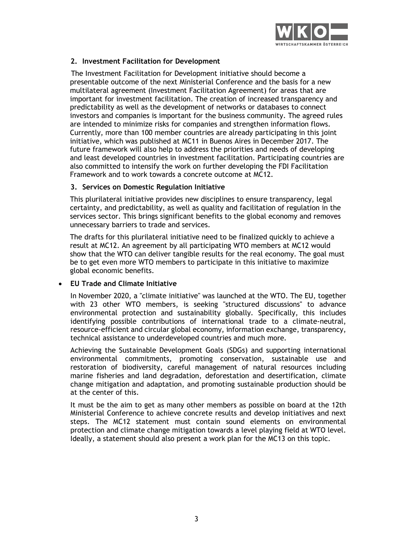

# **2. Investment Facilitation for Development**

The Investment Facilitation for Development initiative should become a presentable outcome of the next Ministerial Conference and the basis for a new multilateral agreement (Investment Facilitation Agreement) for areas that are important for investment facilitation. The creation of increased transparency and predictability as well as the development of networks or databases to connect investors and companies is important for the business community. The agreed rules are intended to minimize risks for companies and strengthen information flows. Currently, more than 100 member countries are already participating in this joint initiative, which was published at MC11 in Buenos Aires in December 2017. The future framework will also help to address the priorities and needs of developing and least developed countries in investment facilitation. Participating countries are also committed to intensify the work on further developing the FDI Facilitation Framework and to work towards a concrete outcome at MC12.

#### **3. Services on Domestic Regulation Initiative**

This plurilateral initiative provides new disciplines to ensure transparency, legal certainty, and predictability, as well as quality and facilitation of regulation in the services sector. This brings significant benefits to the global economy and removes unnecessary barriers to trade and services.

The drafts for this plurilateral initiative need to be finalized quickly to achieve a result at MC12. An agreement by all participating WTO members at MC12 would show that the WTO can deliver tangible results for the real economy. The goal must be to get even more WTO members to participate in this initiative to maximize global economic benefits.

# • **EU Trade and Climate Initiative**

In November 2020, a "climate initiative" was launched at the WTO. The EU, together with 23 other WTO members, is seeking "structured discussions" to advance environmental protection and sustainability globally. Specifically, this includes identifying possible contributions of international trade to a climate-neutral, resource-efficient and circular global economy, information exchange, transparency, technical assistance to underdeveloped countries and much more.

Achieving the Sustainable Development Goals (SDGs) and supporting international environmental commitments, promoting conservation, sustainable use and restoration of biodiversity, careful management of natural resources including marine fisheries and land degradation, deforestation and desertification, climate change mitigation and adaptation, and promoting sustainable production should be at the center of this.

It must be the aim to get as many other members as possible on board at the 12th Ministerial Conference to achieve concrete results and develop initiatives and next steps. The MC12 statement must contain sound elements on environmental protection and climate change mitigation towards a level playing field at WTO level. Ideally, a statement should also present a work plan for the MC13 on this topic.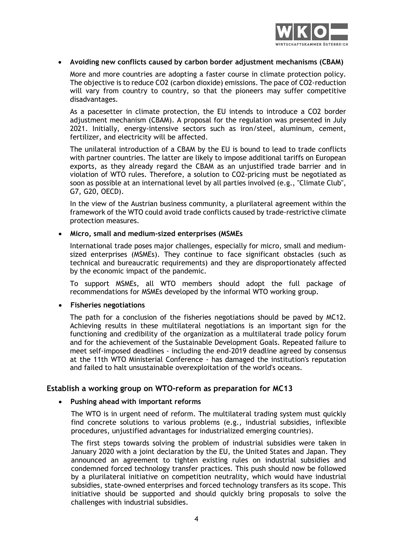

# • **Avoiding new conflicts caused by carbon border adjustment mechanisms (CBAM)**

More and more countries are adopting a faster course in climate protection policy. The objective is to reduce CO2 (carbon dioxide) emissions. The pace of CO2-reduction will vary from country to country, so that the pioneers may suffer competitive disadvantages.

As a pacesetter in climate protection, the EU intends to introduce a CO2 border adjustment mechanism (CBAM). A proposal for the regulation was presented in July 2021. Initially, energy-intensive sectors such as iron/steel, aluminum, cement, fertilizer, and electricity will be affected.

The unilateral introduction of a CBAM by the EU is bound to lead to trade conflicts with partner countries. The latter are likely to impose additional tariffs on European exports, as they already regard the CBAM as an unjustified trade barrier and in violation of WTO rules. Therefore, a solution to CO2-pricing must be negotiated as soon as possible at an international level by all parties involved (e.g., "Climate Club", G7, G20, OECD).

In the view of the Austrian business community, a plurilateral agreement within the framework of the WTO could avoid trade conflicts caused by trade-restrictive climate protection measures.

#### • **Micro, small and medium-sized enterprises (MSMEs**

International trade poses major challenges, especially for micro, small and mediumsized enterprises (MSMEs). They continue to face significant obstacles (such as technical and bureaucratic requirements) and they are disproportionately affected by the economic impact of the pandemic.

To support MSMEs, all WTO members should adopt the full package of recommendations for MSMEs developed by the informal WTO working group.

#### • **Fisheries negotiations**

The path for a conclusion of the fisheries negotiations should be paved by MC12. Achieving results in these multilateral negotiations is an important sign for the functioning and credibility of the organization as a multilateral trade policy forum and for the achievement of the Sustainable Development Goals. Repeated failure to meet self-imposed deadlines - including the end-2019 deadline agreed by consensus at the 11th WTO Ministerial Conference - has damaged the institution's reputation and failed to halt unsustainable overexploitation of the world's oceans.

# **Establish a working group on WTO-reform as preparation for MC13**

#### • **Pushing ahead with important reforms**

The WTO is in urgent need of reform. The multilateral trading system must quickly find concrete solutions to various problems (e.g., industrial subsidies, inflexible procedures, unjustified advantages for industrialized emerging countries).

The first steps towards solving the problem of industrial subsidies were taken in January 2020 with a joint declaration by the EU, the United States and Japan. They announced an agreement to tighten existing rules on industrial subsidies and condemned forced technology transfer practices. This push should now be followed by a plurilateral initiative on competition neutrality, which would have industrial subsidies, state-owned enterprises and forced technology transfers as its scope. This initiative should be supported and should quickly bring proposals to solve the challenges with industrial subsidies.